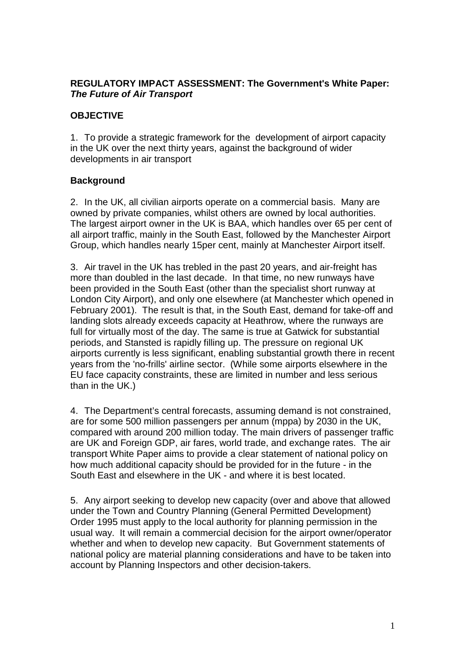### **REGULATORY IMPACT ASSESSMENT: The Government's White Paper:** *The Future of Air Transport*

# **OBJECTIVE**

1. To provide a strategic framework for the development of airport capacity in the UK over the next thirty years, against the background of wider developments in air transport

# **Background**

2. In the UK, all civilian airports operate on a commercial basis. Many are owned by private companies, whilst others are owned by local authorities. The largest airport owner in the UK is BAA, which handles over 65 per cent of all airport traffic, mainly in the South East, followed by the Manchester Airport Group, which handles nearly 15per cent, mainly at Manchester Airport itself.

3. Air travel in the UK has trebled in the past 20 years, and air-freight has more than doubled in the last decade. In that time, no new runways have been provided in the South East (other than the specialist short runway at London City Airport), and only one elsewhere (at Manchester which opened in February 2001). The result is that, in the South East, demand for take-off and landing slots already exceeds capacity at Heathrow, where the runways are full for virtually most of the day. The same is true at Gatwick for substantial periods, and Stansted is rapidly filling up. The pressure on regional UK airports currently is less significant, enabling substantial growth there in recent years from the 'no-frills' airline sector. (While some airports elsewhere in the EU face capacity constraints, these are limited in number and less serious than in the UK.)

4. The Department's central forecasts, assuming demand is not constrained, are for some 500 million passengers per annum (mppa) by 2030 in the UK, compared with around 200 million today. The main drivers of passenger traffic are UK and Foreign GDP, air fares, world trade, and exchange rates. The air transport White Paper aims to provide a clear statement of national policy on how much additional capacity should be provided for in the future - in the South East and elsewhere in the UK - and where it is best located.

5. Any airport seeking to develop new capacity (over and above that allowed under the Town and Country Planning (General Permitted Development) Order 1995 must apply to the local authority for planning permission in the usual way. It will remain a commercial decision for the airport owner/operator whether and when to develop new capacity. But Government statements of national policy are material planning considerations and have to be taken into account by Planning Inspectors and other decision-takers.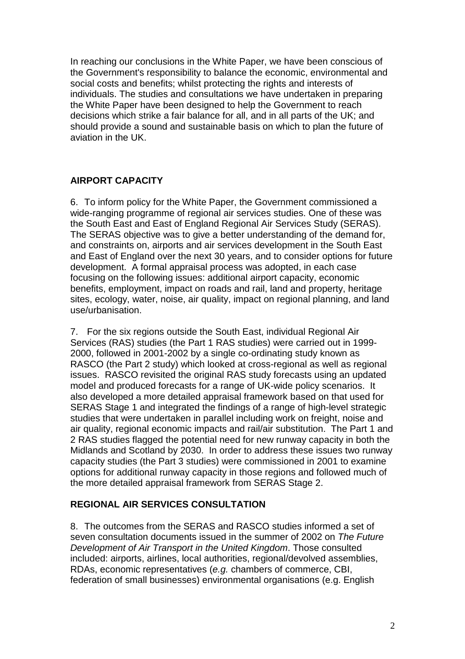In reaching our conclusions in the White Paper, we have been conscious of the Government's responsibility to balance the economic, environmental and social costs and benefits; whilst protecting the rights and interests of individuals. The studies and consultations we have undertaken in preparing the White Paper have been designed to help the Government to reach decisions which strike a fair balance for all, and in all parts of the UK; and should provide a sound and sustainable basis on which to plan the future of aviation in the UK.

# **AIRPORT CAPACITY**

6. To inform policy for the White Paper, the Government commissioned a wide-ranging programme of regional air services studies. One of these was the South East and East of England Regional Air Services Study (SERAS). The SERAS objective was to give a better understanding of the demand for, and constraints on, airports and air services development in the South East and East of England over the next 30 years, and to consider options for future development. A formal appraisal process was adopted, in each case focusing on the following issues: additional airport capacity, economic benefits, employment, impact on roads and rail, land and property, heritage sites, ecology, water, noise, air quality, impact on regional planning, and land use/urbanisation.

7. For the six regions outside the South East, individual Regional Air Services (RAS) studies (the Part 1 RAS studies) were carried out in 1999- 2000, followed in 2001-2002 by a single co-ordinating study known as RASCO (the Part 2 study) which looked at cross-regional as well as regional issues. RASCO revisited the original RAS study forecasts using an updated model and produced forecasts for a range of UK-wide policy scenarios. It also developed a more detailed appraisal framework based on that used for SERAS Stage 1 and integrated the findings of a range of high-level strategic studies that were undertaken in parallel including work on freight, noise and air quality, regional economic impacts and rail/air substitution. The Part 1 and 2 RAS studies flagged the potential need for new runway capacity in both the Midlands and Scotland by 2030. In order to address these issues two runway capacity studies (the Part 3 studies) were commissioned in 2001 to examine options for additional runway capacity in those regions and followed much of the more detailed appraisal framework from SERAS Stage 2.

# **REGIONAL AIR SERVICES CONSULTATION**

8. The outcomes from the SERAS and RASCO studies informed a set of seven consultation documents issued in the summer of 2002 on *The Future Development of Air Transport in the United Kingdom*. Those consulted included: airports, airlines, local authorities, regional/devolved assemblies, RDAs, economic representatives (*e.g.* chambers of commerce, CBI, federation of small businesses) environmental organisations (e.g. English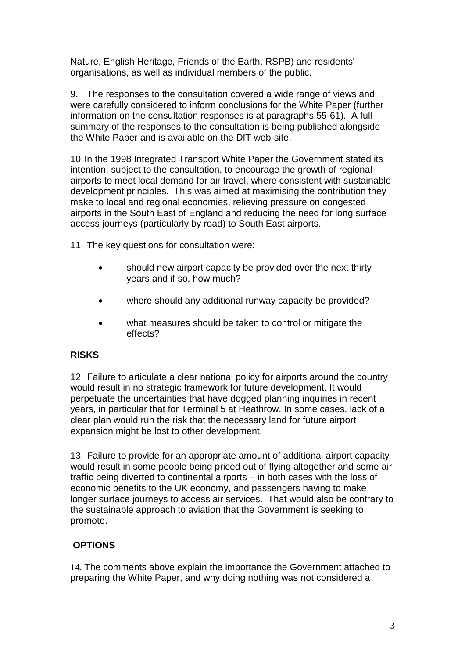Nature, English Heritage, Friends of the Earth, RSPB) and residents' organisations, as well as individual members of the public.

9. The responses to the consultation covered a wide range of views and were carefully considered to inform conclusions for the White Paper (further information on the consultation responses is at paragraphs 55-61). A full summary of the responses to the consultation is being published alongside the White Paper and is available on the DfT web-site.

10. In the 1998 Integrated Transport White Paper the Government stated its intention, subject to the consultation, to encourage the growth of regional airports to meet local demand for air travel, where consistent with sustainable development principles. This was aimed at maximising the contribution they make to local and regional economies, relieving pressure on congested airports in the South East of England and reducing the need for long surface access journeys (particularly by road) to South East airports.

11. The key questions for consultation were:

- should new airport capacity be provided over the next thirty years and if so, how much?
- where should any additional runway capacity be provided?
- what measures should be taken to control or mitigate the effects?

# **RISKS**

12. Failure to articulate a clear national policy for airports around the country would result in no strategic framework for future development. It would perpetuate the uncertainties that have dogged planning inquiries in recent years, in particular that for Terminal 5 at Heathrow. In some cases, lack of a clear plan would run the risk that the necessary land for future airport expansion might be lost to other development.

13. Failure to provide for an appropriate amount of additional airport capacity would result in some people being priced out of flying altogether and some air traffic being diverted to continental airports – in both cases with the loss of economic benefits to the UK economy, and passengers having to make longer surface journeys to access air services. That would also be contrary to the sustainable approach to aviation that the Government is seeking to promote.

# **OPTIONS**

14. The comments above explain the importance the Government attached to preparing the White Paper, and why doing nothing was not considered a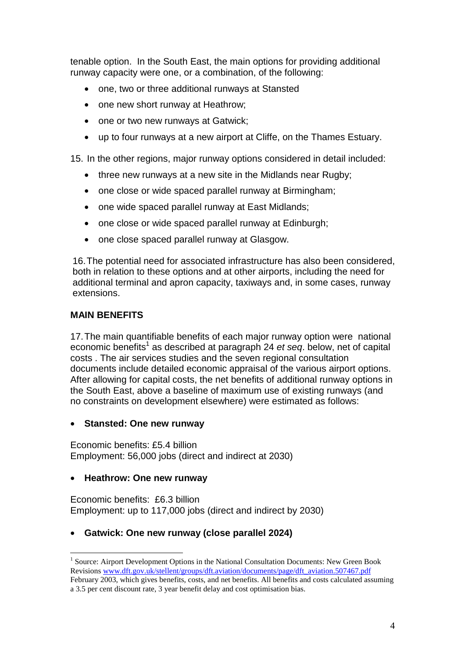tenable option. In the South East, the main options for providing additional runway capacity were one, or a combination, of the following:

- one, two or three additional runways at Stansted
- one new short runway at Heathrow;
- one or two new runways at Gatwick;
- up to four runways at a new airport at Cliffe, on the Thames Estuary.

15. In the other regions, major runway options considered in detail included:

- three new runways at a new site in the Midlands near Rugby;
- one close or wide spaced parallel runway at Birmingham;
- one wide spaced parallel runway at East Midlands;
- one close or wide spaced parallel runway at Edinburgh;
- one close spaced parallel runway at Glasgow.

16. The potential need for associated infrastructure has also been considered, both in relation to these options and at other airports, including the need for additional terminal and apron capacity, taxiways and, in some cases, runway extensions.

### **MAIN BENEFITS**

17. The main quantifiable benefits of each major runway option were national economic benefits<sup>[1](#page-3-0)</sup> as described at paragraph 24 *et seq*. below, net of capital costs . The air services studies and the seven regional consultation documents include detailed economic appraisal of the various airport options. After allowing for capital costs, the net benefits of additional runway options in the South East, above a baseline of maximum use of existing runways (and no constraints on development elsewhere) were estimated as follows:

• **Stansted: One new runway** 

Economic benefits: £5.4 billion Employment: 56,000 jobs (direct and indirect at 2030)

### • **Heathrow: One new runway**

 $\overline{a}$ 

Economic benefits: £6.3 billion Employment: up to 117,000 jobs (direct and indirect by 2030)

### • **Gatwick: One new runway (close parallel 2024)**

<span id="page-3-0"></span><sup>&</sup>lt;sup>1</sup> Source: Airport Development Options in the National Consultation Documents: New Green Book Revisions www.dft.gov.uk/stellent/groups/dft.aviation/documents/page/dft\_aviation.507467.pdf

February 2003, which gives benefits, costs, and net benefits. All benefits and costs calculated assuming a 3.5 per cent discount rate, 3 year benefit delay and cost optimisation bias.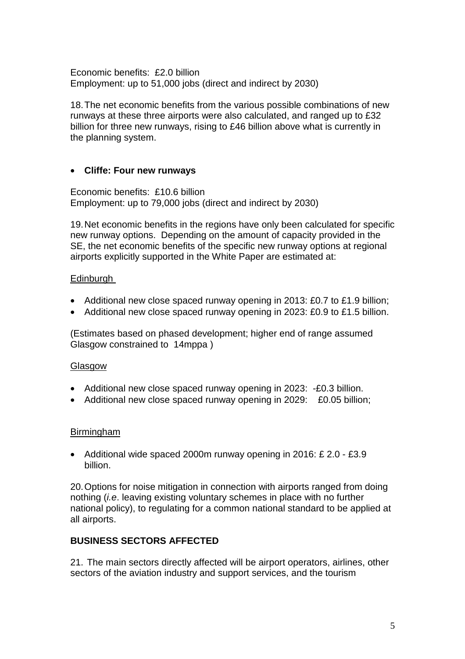Economic benefits: £2.0 billion Employment: up to 51,000 jobs (direct and indirect by 2030)

18. The net economic benefits from the various possible combinations of new runways at these three airports were also calculated, and ranged up to £32 billion for three new runways, rising to £46 billion above what is currently in the planning system.

# • **Cliffe: Four new runways**

Economic benefits: £10.6 billion Employment: up to 79,000 jobs (direct and indirect by 2030)

19. Net economic benefits in the regions have only been calculated for specific new runway options. Depending on the amount of capacity provided in the SE, the net economic benefits of the specific new runway options at regional airports explicitly supported in the White Paper are estimated at:

### Edinburgh

- Additional new close spaced runway opening in 2013: £0.7 to £1.9 billion;
- Additional new close spaced runway opening in 2023: £0.9 to £1.5 billion.

(Estimates based on phased development; higher end of range assumed Glasgow constrained to 14mppa )

### Glasgow

- Additional new close spaced runway opening in 2023: -£0.3 billion.
- Additional new close spaced runway opening in 2029: £0.05 billion;

### Birmingham

• Additional wide spaced 2000m runway opening in 2016: £ 2.0 - £3.9 billion.

20. Options for noise mitigation in connection with airports ranged from doing nothing (*i.e*. leaving existing voluntary schemes in place with no further national policy), to regulating for a common national standard to be applied at all airports.

# **BUSINESS SECTORS AFFECTED**

21. The main sectors directly affected will be airport operators, airlines, other sectors of the aviation industry and support services, and the tourism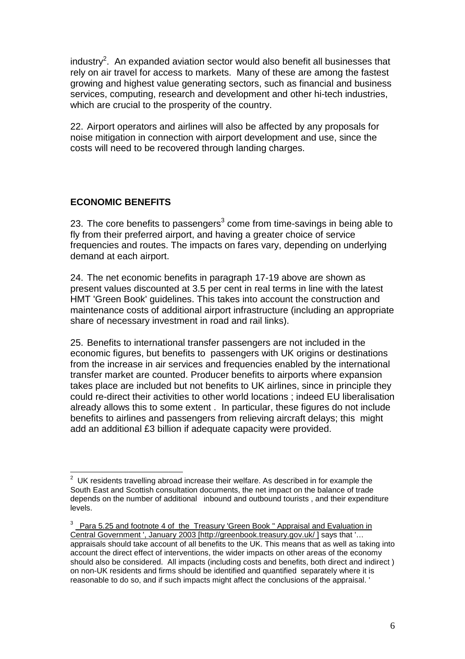industry<sup>2</sup>. An expanded aviation sector would also benefit all businesses that rely on air travel for access to markets. Many of these are among the fastest growing and highest value generating sectors, such as financial and business services, computing, research and development and other hi-tech industries, which are crucial to the prosperity of the country.

22. Airport operators and airlines will also be affected by any proposals for noise mitigation in connection with airport development and use, since the costs will need to be recovered through landing charges.

### **ECONOMIC BENEFITS**

 $\overline{a}$ 

2[3](#page-5-1). The core benefits to passengers $^3$  come from time-savings in being able to fly from their preferred airport, and having a greater choice of service frequencies and routes. The impacts on fares vary, depending on underlying demand at each airport.

24. The net economic benefits in paragraph 17-19 above are shown as present values discounted at 3.5 per cent in real terms in line with the latest HMT 'Green Book' guidelines. This takes into account the construction and maintenance costs of additional airport infrastructure (including an appropriate share of necessary investment in road and rail links).

25. Benefits to international transfer passengers are not included in the economic figures, but benefits to passengers with UK origins or destinations from the increase in air services and frequencies enabled by the international transfer market are counted. Producer benefits to airports where expansion takes place are included but not benefits to UK airlines, since in principle they could re-direct their activities to other world locations ; indeed EU liberalisation already allows this to some extent . In particular, these figures do not include benefits to airlines and passengers from relieving aircraft delays; this might add an additional £3 billion if adequate capacity were provided.

<span id="page-5-0"></span> $2$  UK residents travelling abroad increase their welfare. As described in for example the South East and Scottish consultation documents, the net impact on the balance of trade depends on the number of additional inbound and outbound tourists , and their expenditure levels.

<span id="page-5-1"></span><sup>&</sup>lt;sup>3</sup> Para 5.25 and footnote 4 of the Treasury 'Green Book " Appraisal and Evaluation in Central Government ', January 2003 [http://greenbook.treasury.gov.uk/ ] says that '… appraisals should take account of all benefits to the UK. This means that as well as taking into account the direct effect of interventions, the wider impacts on other areas of the economy should also be considered. All impacts (including costs and benefits, both direct and indirect ) on non-UK residents and firms should be identified and quantified separately where it is reasonable to do so, and if such impacts might affect the conclusions of the appraisal. '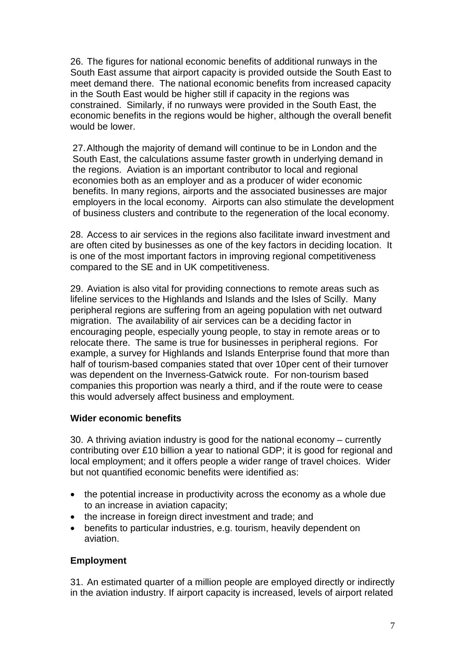26. The figures for national economic benefits of additional runways in the South East assume that airport capacity is provided outside the South East to meet demand there. The national economic benefits from increased capacity in the South East would be higher still if capacity in the regions was constrained. Similarly, if no runways were provided in the South East, the economic benefits in the regions would be higher, although the overall benefit would be lower.

27. Although the majority of demand will continue to be in London and the South East, the calculations assume faster growth in underlying demand in the regions. Aviation is an important contributor to local and regional economies both as an employer and as a producer of wider economic benefits. In many regions, airports and the associated businesses are major employers in the local economy. Airports can also stimulate the development of business clusters and contribute to the regeneration of the local economy.

28. Access to air services in the regions also facilitate inward investment and are often cited by businesses as one of the key factors in deciding location. It is one of the most important factors in improving regional competitiveness compared to the SE and in UK competitiveness.

29. Aviation is also vital for providing connections to remote areas such as lifeline services to the Highlands and Islands and the Isles of Scilly. Many peripheral regions are suffering from an ageing population with net outward migration. The availability of air services can be a deciding factor in encouraging people, especially young people, to stay in remote areas or to relocate there. The same is true for businesses in peripheral regions. For example, a survey for Highlands and Islands Enterprise found that more than half of tourism-based companies stated that over 10per cent of their turnover was dependent on the Inverness-Gatwick route. For non-tourism based companies this proportion was nearly a third, and if the route were to cease this would adversely affect business and employment.

### **Wider economic benefits**

30. A thriving aviation industry is good for the national economy – currently contributing over £10 billion a year to national GDP; it is good for regional and local employment; and it offers people a wider range of travel choices. Wider but not quantified economic benefits were identified as:

- the potential increase in productivity across the economy as a whole due to an increase in aviation capacity;
- the increase in foreign direct investment and trade; and
- benefits to particular industries, e.g. tourism, heavily dependent on aviation.

### **Employment**

31. An estimated quarter of a million people are employed directly or indirectly in the aviation industry. If airport capacity is increased, levels of airport related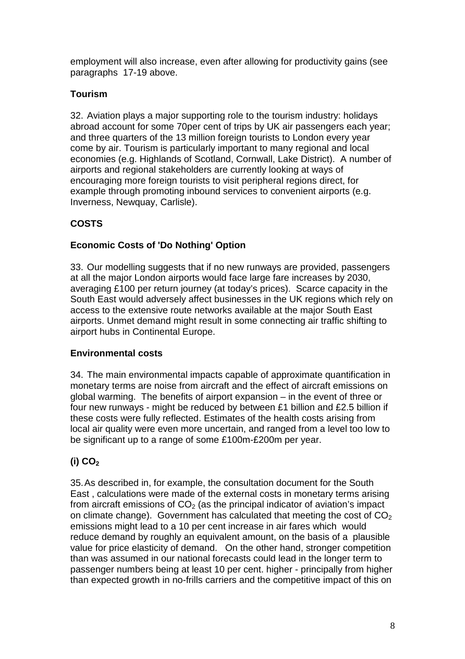employment will also increase, even after allowing for productivity gains (see paragraphs 17-19 above.

# **Tourism**

32. Aviation plays a major supporting role to the tourism industry: holidays abroad account for some 70per cent of trips by UK air passengers each year; and three quarters of the 13 million foreign tourists to London every year come by air. Tourism is particularly important to many regional and local economies (e.g. Highlands of Scotland, Cornwall, Lake District). A number of airports and regional stakeholders are currently looking at ways of encouraging more foreign tourists to visit peripheral regions direct, for example through promoting inbound services to convenient airports (e.g. Inverness, Newquay, Carlisle).

# **COSTS**

# **Economic Costs of 'Do Nothing' Option**

33. Our modelling suggests that if no new runways are provided, passengers at all the major London airports would face large fare increases by 2030, averaging £100 per return journey (at today's prices). Scarce capacity in the South East would adversely affect businesses in the UK regions which rely on access to the extensive route networks available at the major South East airports. Unmet demand might result in some connecting air traffic shifting to airport hubs in Continental Europe.

# **Environmental costs**

34. The main environmental impacts capable of approximate quantification in monetary terms are noise from aircraft and the effect of aircraft emissions on global warming. The benefits of airport expansion – in the event of three or four new runways - might be reduced by between £1 billion and £2.5 billion if these costs were fully reflected. Estimates of the health costs arising from local air quality were even more uncertain, and ranged from a level too low to be significant up to a range of some £100m-£200m per year.

# **(i) CO2**

35. As described in, for example, the consultation document for the South East , calculations were made of the external costs in monetary terms arising from aircraft emissions of  $CO<sub>2</sub>$  (as the principal indicator of aviation's impact on climate change). Government has calculated that meeting the cost of  $CO<sub>2</sub>$ emissions might lead to a 10 per cent increase in air fares which would reduce demand by roughly an equivalent amount, on the basis of a plausible value for price elasticity of demand. On the other hand, stronger competition than was assumed in our national forecasts could lead in the longer term to passenger numbers being at least 10 per cent. higher - principally from higher than expected growth in no-frills carriers and the competitive impact of this on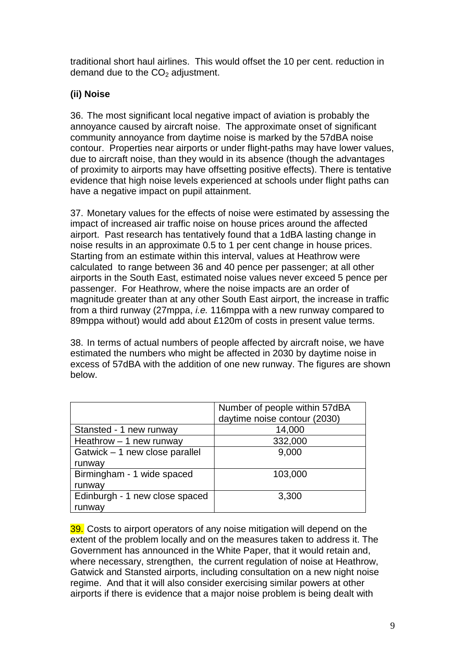traditional short haul airlines. This would offset the 10 per cent. reduction in demand due to the  $CO<sub>2</sub>$  adjustment.

# **(ii) Noise**

36. The most significant local negative impact of aviation is probably the annoyance caused by aircraft noise. The approximate onset of significant community annoyance from daytime noise is marked by the 57dBA noise contour. Properties near airports or under flight-paths may have lower values, due to aircraft noise, than they would in its absence (though the advantages of proximity to airports may have offsetting positive effects). There is tentative evidence that high noise levels experienced at schools under flight paths can have a negative impact on pupil attainment.

37. Monetary values for the effects of noise were estimated by assessing the impact of increased air traffic noise on house prices around the affected airport. Past research has tentatively found that a 1dBA lasting change in noise results in an approximate 0.5 to 1 per cent change in house prices. Starting from an estimate within this interval, values at Heathrow were calculated to range between 36 and 40 pence per passenger; at all other airports in the South East, estimated noise values never exceed 5 pence per passenger. For Heathrow, where the noise impacts are an order of magnitude greater than at any other South East airport, the increase in traffic from a third runway (27mppa, *i.e.* 116mppa with a new runway compared to 89mppa without) would add about £120m of costs in present value terms.

38. In terms of actual numbers of people affected by aircraft noise, we have estimated the numbers who might be affected in 2030 by daytime noise in excess of 57dBA with the addition of one new runway. The figures are shown below.

|                                 | Number of people within 57dBA<br>daytime noise contour (2030) |
|---------------------------------|---------------------------------------------------------------|
| Stansted - 1 new runway         | 14,000                                                        |
| Heathrow $-1$ new runway        | 332,000                                                       |
| Gatwick $-1$ new close parallel | 9,000                                                         |
| runway                          |                                                               |
| Birmingham - 1 wide spaced      | 103,000                                                       |
| runway                          |                                                               |
| Edinburgh - 1 new close spaced  | 3,300                                                         |
| runway                          |                                                               |

39. Costs to airport operators of any noise mitigation will depend on the extent of the problem locally and on the measures taken to address it. The Government has announced in the White Paper, that it would retain and, where necessary, strengthen, the current regulation of noise at Heathrow, Gatwick and Stansted airports, including consultation on a new night noise regime. And that it will also consider exercising similar powers at other airports if there is evidence that a major noise problem is being dealt with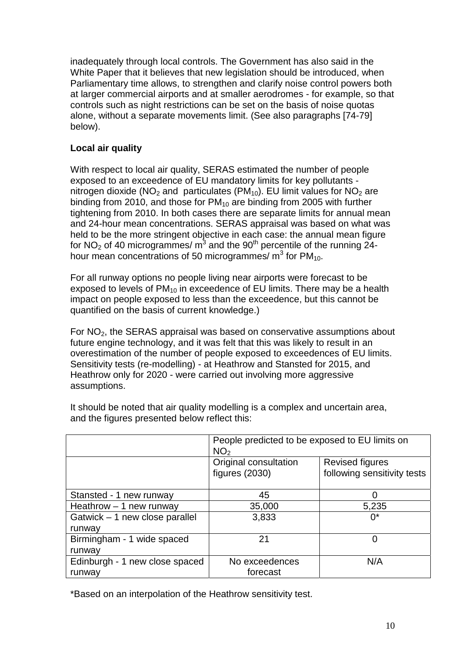inadequately through local controls. The Government has also said in the White Paper that it believes that new legislation should be introduced, when Parliamentary time allows, to strengthen and clarify noise control powers both at larger commercial airports and at smaller aerodromes - for example, so that controls such as night restrictions can be set on the basis of noise quotas alone, without a separate movements limit. (See also paragraphs [74-79] below).

# **Local air quality**

With respect to local air quality, SERAS estimated the number of people exposed to an exceedence of EU mandatory limits for key pollutants nitrogen dioxide ( $NO<sub>2</sub>$  and particulates ( $PM<sub>10</sub>$ ). EU limit values for  $NO<sub>2</sub>$  are binding from 2010, and those for  $PM_{10}$  are binding from 2005 with further tightening from 2010. In both cases there are separate limits for annual mean and 24-hour mean concentrations. SERAS appraisal was based on what was held to be the more stringent objective in each case: the annual mean figure for NO<sub>2</sub> of 40 microgrammes/ m<sup>3</sup> and the 90<sup>th</sup> percentile of the running 24hour mean concentrations of 50 microgrammes/ $m^3$  for PM<sub>10</sub>.

For all runway options no people living near airports were forecast to be exposed to levels of PM<sub>10</sub> in exceedence of EU limits. There may be a health impact on people exposed to less than the exceedence, but this cannot be quantified on the basis of current knowledge.)

For  $NO<sub>2</sub>$ , the SERAS appraisal was based on conservative assumptions about future engine technology, and it was felt that this was likely to result in an overestimation of the number of people exposed to exceedences of EU limits. Sensitivity tests (re-modelling) - at Heathrow and Stansted for 2015, and Heathrow only for 2020 - were carried out involving more aggressive assumptions.

|                                 | People predicted to be exposed to EU limits on<br>NO <sub>2</sub> |                                                       |
|---------------------------------|-------------------------------------------------------------------|-------------------------------------------------------|
|                                 | Original consultation<br>figures $(2030)$                         | <b>Revised figures</b><br>following sensitivity tests |
| Stansted - 1 new runway         | 45                                                                |                                                       |
| Heathrow $-1$ new runway        | 35,000                                                            | 5,235                                                 |
| Gatwick $-1$ new close parallel | 3,833                                                             | 0*                                                    |
| runway                          |                                                                   |                                                       |
| Birmingham - 1 wide spaced      | 21                                                                | 0                                                     |
| runway                          |                                                                   |                                                       |
| Edinburgh - 1 new close spaced  | No exceedences                                                    | N/A                                                   |
| runway                          | forecast                                                          |                                                       |

It should be noted that air quality modelling is a complex and uncertain area, and the figures presented below reflect this:

\*Based on an interpolation of the Heathrow sensitivity test.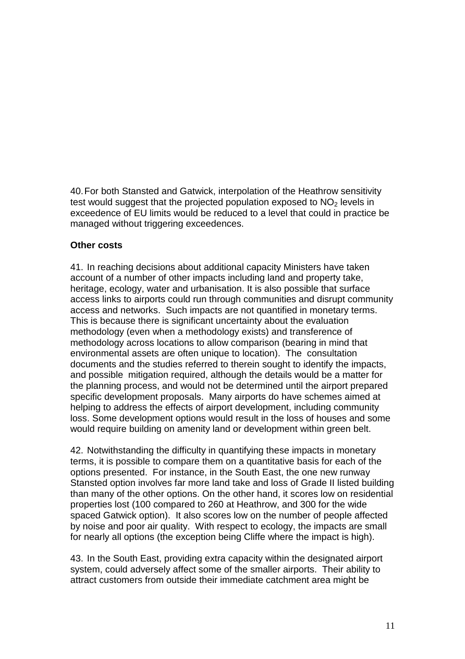40. For both Stansted and Gatwick, interpolation of the Heathrow sensitivity test would suggest that the projected population exposed to  $NO<sub>2</sub>$  levels in exceedence of EU limits would be reduced to a level that could in practice be managed without triggering exceedences.

# **Other costs**

41. In reaching decisions about additional capacity Ministers have taken account of a number of other impacts including land and property take, heritage, ecology, water and urbanisation. It is also possible that surface access links to airports could run through communities and disrupt community access and networks. Such impacts are not quantified in monetary terms. This is because there is significant uncertainty about the evaluation methodology (even when a methodology exists) and transference of methodology across locations to allow comparison (bearing in mind that environmental assets are often unique to location). The consultation documents and the studies referred to therein sought to identify the impacts, and possible mitigation required, although the details would be a matter for the planning process, and would not be determined until the airport prepared specific development proposals. Many airports do have schemes aimed at helping to address the effects of airport development, including community loss. Some development options would result in the loss of houses and some would require building on amenity land or development within green belt.

42. Notwithstanding the difficulty in quantifying these impacts in monetary terms, it is possible to compare them on a quantitative basis for each of the options presented. For instance, in the South East, the one new runway Stansted option involves far more land take and loss of Grade II listed building than many of the other options. On the other hand, it scores low on residential properties lost (100 compared to 260 at Heathrow, and 300 for the wide spaced Gatwick option). It also scores low on the number of people affected by noise and poor air quality. With respect to ecology, the impacts are small for nearly all options (the exception being Cliffe where the impact is high).

43. In the South East, providing extra capacity within the designated airport system, could adversely affect some of the smaller airports. Their ability to attract customers from outside their immediate catchment area might be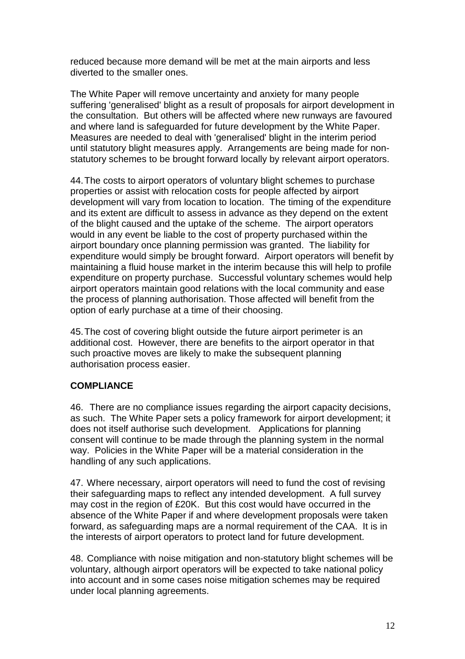reduced because more demand will be met at the main airports and less diverted to the smaller ones.

The White Paper will remove uncertainty and anxiety for many people suffering 'generalised' blight as a result of proposals for airport development in the consultation. But others will be affected where new runways are favoured and where land is safeguarded for future development by the White Paper. Measures are needed to deal with 'generalised' blight in the interim period until statutory blight measures apply. Arrangements are being made for nonstatutory schemes to be brought forward locally by relevant airport operators.

44. The costs to airport operators of voluntary blight schemes to purchase properties or assist with relocation costs for people affected by airport development will vary from location to location. The timing of the expenditure and its extent are difficult to assess in advance as they depend on the extent of the blight caused and the uptake of the scheme. The airport operators would in any event be liable to the cost of property purchased within the airport boundary once planning permission was granted. The liability for expenditure would simply be brought forward. Airport operators will benefit by maintaining a fluid house market in the interim because this will help to profile expenditure on property purchase. Successful voluntary schemes would help airport operators maintain good relations with the local community and ease the process of planning authorisation. Those affected will benefit from the option of early purchase at a time of their choosing.

45. The cost of covering blight outside the future airport perimeter is an additional cost. However, there are benefits to the airport operator in that such proactive moves are likely to make the subsequent planning authorisation process easier.

# **COMPLIANCE**

46. There are no compliance issues regarding the airport capacity decisions, as such. The White Paper sets a policy framework for airport development; it does not itself authorise such development. Applications for planning consent will continue to be made through the planning system in the normal way. Policies in the White Paper will be a material consideration in the handling of any such applications.

47. Where necessary, airport operators will need to fund the cost of revising their safeguarding maps to reflect any intended development. A full survey may cost in the region of £20K. But this cost would have occurred in the absence of the White Paper if and where development proposals were taken forward, as safeguarding maps are a normal requirement of the CAA. It is in the interests of airport operators to protect land for future development.

48. Compliance with noise mitigation and non-statutory blight schemes will be voluntary, although airport operators will be expected to take national policy into account and in some cases noise mitigation schemes may be required under local planning agreements.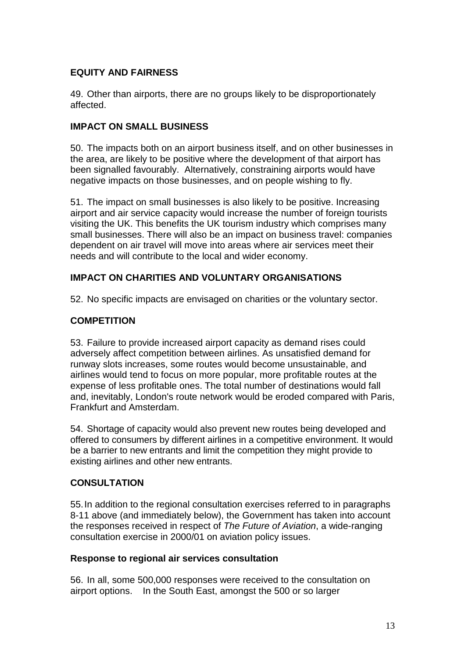### **EQUITY AND FAIRNESS**

49. Other than airports, there are no groups likely to be disproportionately affected.

### **IMPACT ON SMALL BUSINESS**

50. The impacts both on an airport business itself, and on other businesses in the area, are likely to be positive where the development of that airport has been signalled favourably. Alternatively, constraining airports would have negative impacts on those businesses, and on people wishing to fly.

51. The impact on small businesses is also likely to be positive. Increasing airport and air service capacity would increase the number of foreign tourists visiting the UK. This benefits the UK tourism industry which comprises many small businesses. There will also be an impact on business travel: companies dependent on air travel will move into areas where air services meet their needs and will contribute to the local and wider economy.

# **IMPACT ON CHARITIES AND VOLUNTARY ORGANISATIONS**

52. No specific impacts are envisaged on charities or the voluntary sector.

# **COMPETITION**

53. Failure to provide increased airport capacity as demand rises could adversely affect competition between airlines. As unsatisfied demand for runway slots increases, some routes would become unsustainable, and airlines would tend to focus on more popular, more profitable routes at the expense of less profitable ones. The total number of destinations would fall and, inevitably, London's route network would be eroded compared with Paris, Frankfurt and Amsterdam.

54. Shortage of capacity would also prevent new routes being developed and offered to consumers by different airlines in a competitive environment. It would be a barrier to new entrants and limit the competition they might provide to existing airlines and other new entrants.

### **CONSULTATION**

55. In addition to the regional consultation exercises referred to in paragraphs 8-11 above (and immediately below), the Government has taken into account the responses received in respect of *The Future of Aviation*, a wide-ranging consultation exercise in 2000/01 on aviation policy issues.

### **Response to regional air services consultation**

56. In all, some 500,000 responses were received to the consultation on airport options. In the South East, amongst the 500 or so larger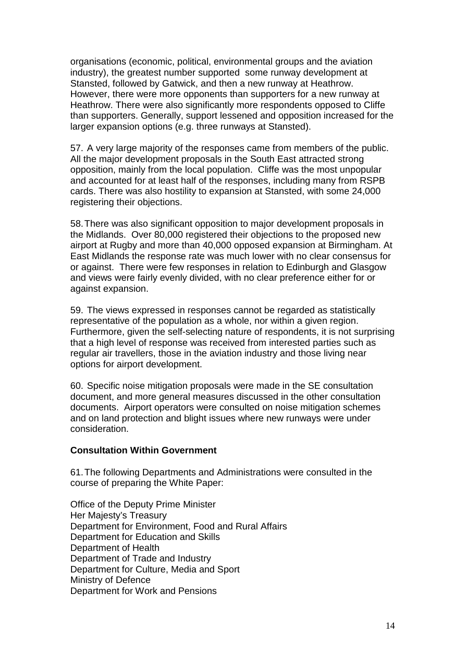organisations (economic, political, environmental groups and the aviation industry), the greatest number supported some runway development at Stansted, followed by Gatwick, and then a new runway at Heathrow. However, there were more opponents than supporters for a new runway at Heathrow. There were also significantly more respondents opposed to Cliffe than supporters. Generally, support lessened and opposition increased for the larger expansion options (e.g. three runways at Stansted).

57. A very large majority of the responses came from members of the public. All the major development proposals in the South East attracted strong opposition, mainly from the local population. Cliffe was the most unpopular and accounted for at least half of the responses, including many from RSPB cards. There was also hostility to expansion at Stansted, with some 24,000 registering their objections.

58. There was also significant opposition to major development proposals in the Midlands. Over 80,000 registered their objections to the proposed new airport at Rugby and more than 40,000 opposed expansion at Birmingham. At East Midlands the response rate was much lower with no clear consensus for or against. There were few responses in relation to Edinburgh and Glasgow and views were fairly evenly divided, with no clear preference either for or against expansion.

59. The views expressed in responses cannot be regarded as statistically representative of the population as a whole, nor within a given region. Furthermore, given the self-selecting nature of respondents, it is not surprising that a high level of response was received from interested parties such as regular air travellers, those in the aviation industry and those living near options for airport development.

60. Specific noise mitigation proposals were made in the SE consultation document, and more general measures discussed in the other consultation documents. Airport operators were consulted on noise mitigation schemes and on land protection and blight issues where new runways were under consideration.

### **Consultation Within Government**

61. The following Departments and Administrations were consulted in the course of preparing the White Paper:

Office of the Deputy Prime Minister Her Majesty's Treasury Department for Environment, Food and Rural Affairs Department for Education and Skills Department of Health Department of Trade and Industry Department for Culture, Media and Sport Ministry of Defence Department for Work and Pensions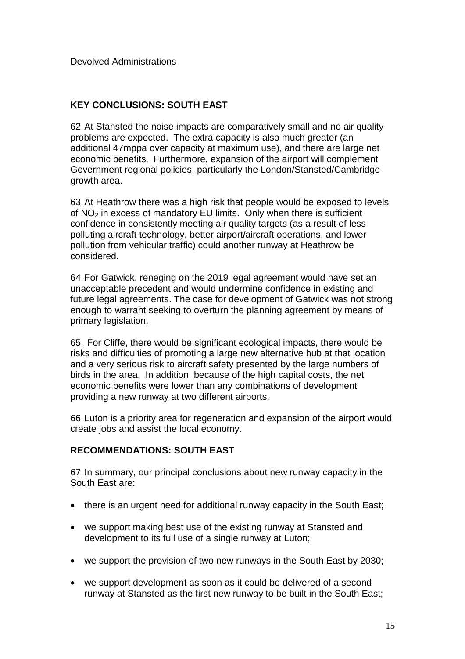# **KEY CONCLUSIONS: SOUTH EAST**

62. At Stansted the noise impacts are comparatively small and no air quality problems are expected. The extra capacity is also much greater (an additional 47mppa over capacity at maximum use), and there are large net economic benefits. Furthermore, expansion of the airport will complement Government regional policies, particularly the London/Stansted/Cambridge growth area.

63. At Heathrow there was a high risk that people would be exposed to levels of NO<sub>2</sub> in excess of mandatory EU limits. Only when there is sufficient confidence in consistently meeting air quality targets (as a result of less polluting aircraft technology, better airport/aircraft operations, and lower pollution from vehicular traffic) could another runway at Heathrow be considered.

64. For Gatwick, reneging on the 2019 legal agreement would have set an unacceptable precedent and would undermine confidence in existing and future legal agreements. The case for development of Gatwick was not strong enough to warrant seeking to overturn the planning agreement by means of primary legislation.

65. For Cliffe, there would be significant ecological impacts, there would be risks and difficulties of promoting a large new alternative hub at that location and a very serious risk to aircraft safety presented by the large numbers of birds in the area. In addition, because of the high capital costs, the net economic benefits were lower than any combinations of development providing a new runway at two different airports.

66. Luton is a priority area for regeneration and expansion of the airport would create jobs and assist the local economy.

# **RECOMMENDATIONS: SOUTH EAST**

67. In summary, our principal conclusions about new runway capacity in the South East are:

- there is an urgent need for additional runway capacity in the South East:
- we support making best use of the existing runway at Stansted and development to its full use of a single runway at Luton;
- we support the provision of two new runways in the South East by 2030;
- we support development as soon as it could be delivered of a second runway at Stansted as the first new runway to be built in the South East;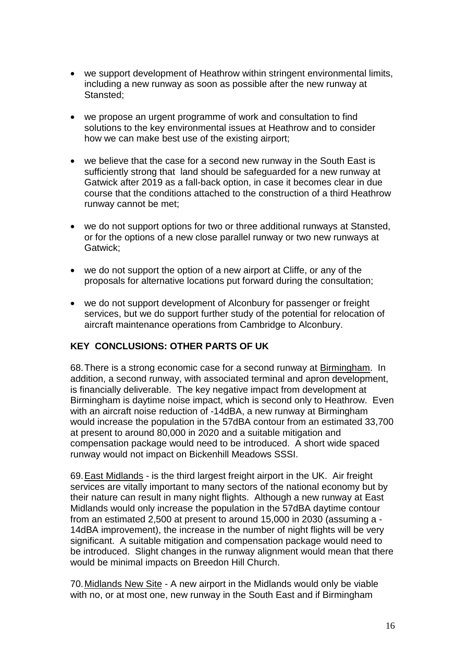- we support development of Heathrow within stringent environmental limits, including a new runway as soon as possible after the new runway at Stansted;
- we propose an urgent programme of work and consultation to find solutions to the key environmental issues at Heathrow and to consider how we can make best use of the existing airport;
- we believe that the case for a second new runway in the South East is sufficiently strong that land should be safeguarded for a new runway at Gatwick after 2019 as a fall-back option, in case it becomes clear in due course that the conditions attached to the construction of a third Heathrow runway cannot be met;
- we do not support options for two or three additional runways at Stansted, or for the options of a new close parallel runway or two new runways at Gatwick;
- we do not support the option of a new airport at Cliffe, or any of the proposals for alternative locations put forward during the consultation;
- we do not support development of Alconbury for passenger or freight services, but we do support further study of the potential for relocation of aircraft maintenance operations from Cambridge to Alconbury.

# **KEY CONCLUSIONS: OTHER PARTS OF UK**

68. There is a strong economic case for a second runway at Birmingham. In addition, a second runway, with associated terminal and apron development, is financially deliverable. The key negative impact from development at Birmingham is daytime noise impact, which is second only to Heathrow. Even with an aircraft noise reduction of -14dBA, a new runway at Birmingham would increase the population in the 57dBA contour from an estimated 33,700 at present to around 80,000 in 2020 and a suitable mitigation and compensation package would need to be introduced. A short wide spaced runway would not impact on Bickenhill Meadows SSSI.

69. East Midlands - is the third largest freight airport in the UK. Air freight services are vitally important to many sectors of the national economy but by their nature can result in many night flights. Although a new runway at East Midlands would only increase the population in the 57dBA daytime contour from an estimated 2,500 at present to around 15,000 in 2030 (assuming a - 14dBA improvement), the increase in the number of night flights will be very significant. A suitable mitigation and compensation package would need to be introduced. Slight changes in the runway alignment would mean that there would be minimal impacts on Breedon Hill Church.

70. Midlands New Site - A new airport in the Midlands would only be viable with no, or at most one, new runway in the South East and if Birmingham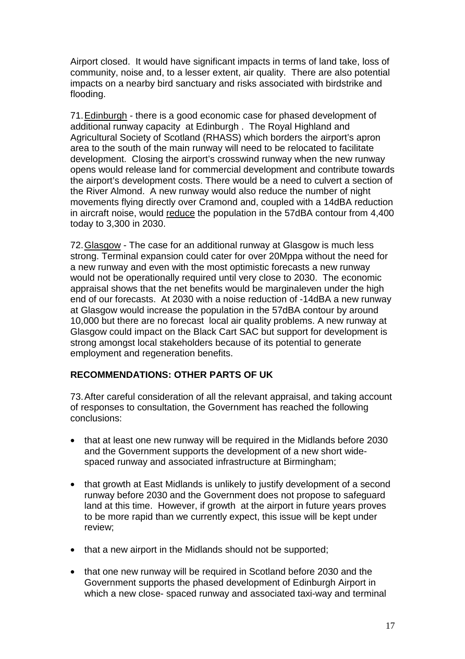Airport closed. It would have significant impacts in terms of land take, loss of community, noise and, to a lesser extent, air quality. There are also potential impacts on a nearby bird sanctuary and risks associated with birdstrike and flooding.

71. Edinburgh - there is a good economic case for phased development of additional runway capacity at Edinburgh . The Royal Highland and Agricultural Society of Scotland (RHASS) which borders the airport's apron area to the south of the main runway will need to be relocated to facilitate development. Closing the airport's crosswind runway when the new runway opens would release land for commercial development and contribute towards the airport's development costs. There would be a need to culvert a section of the River Almond. A new runway would also reduce the number of night movements flying directly over Cramond and, coupled with a 14dBA reduction in aircraft noise, would reduce the population in the 57dBA contour from 4,400 today to 3,300 in 2030.

72. Glasgow - The case for an additional runway at Glasgow is much less strong. Terminal expansion could cater for over 20Mppa without the need for a new runway and even with the most optimistic forecasts a new runway would not be operationally required until very close to 2030. The economic appraisal shows that the net benefits would be marginaleven under the high end of our forecasts. At 2030 with a noise reduction of -14dBA a new runway at Glasgow would increase the population in the 57dBA contour by around 10,000 but there are no forecast local air quality problems. A new runway at Glasgow could impact on the Black Cart SAC but support for development is strong amongst local stakeholders because of its potential to generate employment and regeneration benefits.

### **RECOMMENDATIONS: OTHER PARTS OF UK**

73. After careful consideration of all the relevant appraisal, and taking account of responses to consultation, the Government has reached the following conclusions:

- that at least one new runway will be required in the Midlands before 2030 and the Government supports the development of a new short widespaced runway and associated infrastructure at Birmingham;
- that growth at East Midlands is unlikely to justify development of a second runway before 2030 and the Government does not propose to safeguard land at this time. However, if growth at the airport in future years proves to be more rapid than we currently expect, this issue will be kept under review;
- that a new airport in the Midlands should not be supported;
- that one new runway will be required in Scotland before 2030 and the Government supports the phased development of Edinburgh Airport in which a new close- spaced runway and associated taxi-way and terminal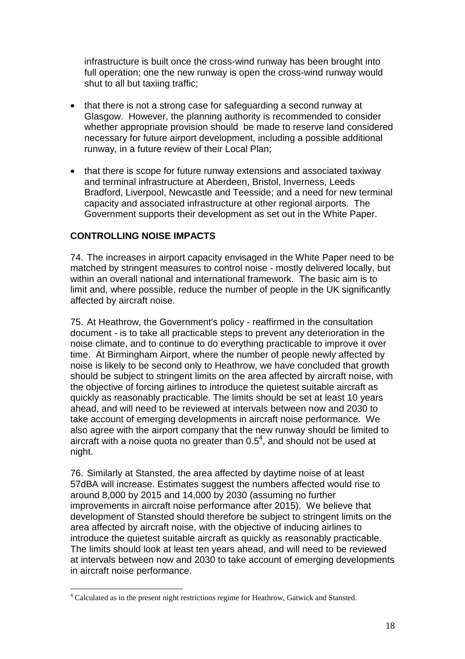infrastructure is built once the cross-wind runway has been brought into full operation; one the new runway is open the cross-wind runway would shut to all but taxiing traffic;

- that there is not a strong case for safeguarding a second runway at Glasgow. However, the planning authority is recommended to consider whether appropriate provision should be made to reserve land considered necessary for future airport development, including a possible additional runway, in a future review of their Local Plan;
- that there is scope for future runway extensions and associated taxiway and terminal infrastructure at Aberdeen, Bristol, Inverness, Leeds Bradford, Liverpool, Newcastle and Teesside; and a need for new terminal capacity and associated infrastructure at other regional airports. The Government supports their development as set out in the White Paper.

### **CONTROLLING NOISE IMPACTS**

74. The increases in airport capacity envisaged in the White Paper need to be matched by stringent measures to control noise - mostly delivered locally, but within an overall national and international framework. The basic aim is to limit and, where possible, reduce the number of people in the UK significantly affected by aircraft noise.

75. At Heathrow, the Government's policy - reaffirmed in the consultation document - is to take all practicable steps to prevent any deterioration in the noise climate, and to continue to do everything practicable to improve it over time. At Birmingham Airport, where the number of people newly affected by noise is likely to be second only to Heathrow, we have concluded that growth should be subject to stringent limits on the area affected by aircraft noise, with the objective of forcing airlines to introduce the quietest suitable aircraft as quickly as reasonably practicable. The limits should be set at least 10 years ahead, and will need to be reviewed at intervals between now and 2030 to take account of emerging developments in aircraft noise performance. We also agree with the airport company that the [ne](#page-17-0)w runway should be limited to aircraft with a noise quota no greater than  $0.5^4$ , and should not be used at night.

76. Similarly at Stansted, the area affected by daytime noise of at least 57dBA will increase. Estimates suggest the numbers affected would rise to around 8,000 by 2015 and 14,000 by 2030 (assuming no further improvements in aircraft noise performance after 2015). We believe that development of Stansted should therefore be subject to stringent limits on the area affected by aircraft noise, with the objective of inducing airlines to introduce the quietest suitable aircraft as quickly as reasonably practicable. The limits should look at least ten years ahead, and will need to be reviewed at intervals between now and 2030 to take account of emerging developments in aircraft noise performance.

<span id="page-17-0"></span> $\overline{a}$ <sup>4</sup> Calculated as in the present night restrictions regime for Heathrow, Gatwick and Stansted.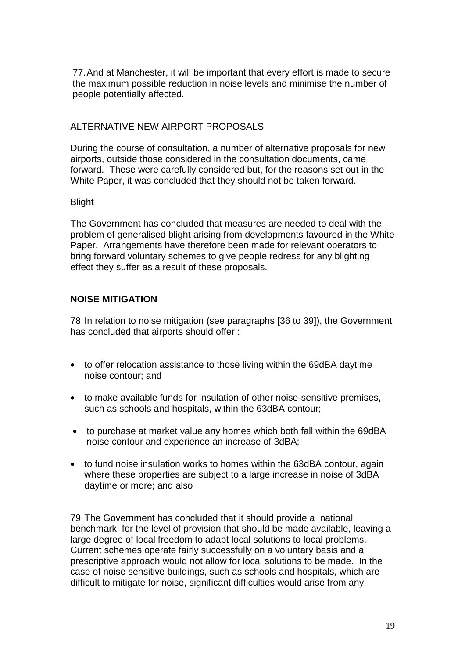77. And at Manchester, it will be important that every effort is made to secure the maximum possible reduction in noise levels and minimise the number of people potentially affected.

### ALTERNATIVE NEW AIRPORT PROPOSALS

During the course of consultation, a number of alternative proposals for new airports, outside those considered in the consultation documents, came forward. These were carefully considered but, for the reasons set out in the White Paper, it was concluded that they should not be taken forward.

### Blight

The Government has concluded that measures are needed to deal with the problem of generalised blight arising from developments favoured in the White Paper. Arrangements have therefore been made for relevant operators to bring forward voluntary schemes to give people redress for any blighting effect they suffer as a result of these proposals.

# **NOISE MITIGATION**

78. In relation to noise mitigation (see paragraphs [36 to 39]), the Government has concluded that airports should offer :

- to offer relocation assistance to those living within the 69dBA daytime noise contour; and
- to make available funds for insulation of other noise-sensitive premises, such as schools and hospitals, within the 63dBA contour;
- to purchase at market value any homes which both fall within the 69dBA noise contour and experience an increase of 3dBA;
- to fund noise insulation works to homes within the 63dBA contour, again where these properties are subject to a large increase in noise of 3dBA daytime or more; and also

79. The Government has concluded that it should provide a national benchmark for the level of provision that should be made available, leaving a large degree of local freedom to adapt local solutions to local problems. Current schemes operate fairly successfully on a voluntary basis and a prescriptive approach would not allow for local solutions to be made. In the case of noise sensitive buildings, such as schools and hospitals, which are difficult to mitigate for noise, significant difficulties would arise from any